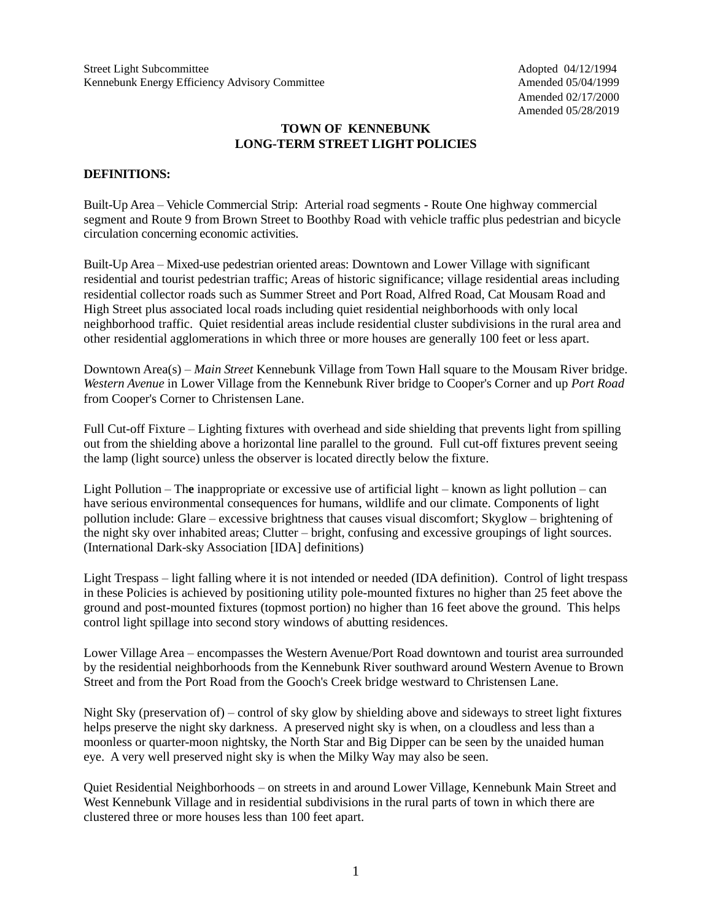Amended 02/17/2000 Amended 05/28/2019

### **TOWN OF KENNEBUNK LONG-TERM STREET LIGHT POLICIES**

#### **DEFINITIONS:**

Built-Up Area – Vehicle Commercial Strip: Arterial road segments - Route One highway commercial segment and Route 9 from Brown Street to Boothby Road with vehicle traffic plus pedestrian and bicycle circulation concerning economic activities.

Built-Up Area – Mixed-use pedestrian oriented areas: Downtown and Lower Village with significant residential and tourist pedestrian traffic; Areas of historic significance; village residential areas including residential collector roads such as Summer Street and Port Road, Alfred Road, Cat Mousam Road and High Street plus associated local roads including quiet residential neighborhoods with only local neighborhood traffic. Quiet residential areas include residential cluster subdivisions in the rural area and other residential agglomerations in which three or more houses are generally 100 feet or less apart.

Downtown Area(s) – *Main Street* Kennebunk Village from Town Hall square to the Mousam River bridge. *Western Avenue* in Lower Village from the Kennebunk River bridge to Cooper's Corner and up *Port Road* from Cooper's Corner to Christensen Lane.

Full Cut-off Fixture – Lighting fixtures with overhead and side shielding that prevents light from spilling out from the shielding above a horizontal line parallel to the ground. Full cut-off fixtures prevent seeing the lamp (light source) unless the observer is located directly below the fixture.

Light Pollution – Th**e** inappropriate or excessive use of artificial light – known as light pollution – can have serious environmental consequences for humans, wildlife and our climate. Components of light pollution include: Glare – excessive brightness that causes visual discomfort; Skyglow – brightening of the night sky over inhabited areas; Clutter – bright, confusing and excessive groupings of light sources. (International Dark-sky Association [IDA] definitions)

Light Trespass – light falling where it is not intended or needed (IDA definition). Control of light trespass in these Policies is achieved by positioning utility pole-mounted fixtures no higher than 25 feet above the ground and post-mounted fixtures (topmost portion) no higher than 16 feet above the ground. This helps control light spillage into second story windows of abutting residences.

Lower Village Area – encompasses the Western Avenue/Port Road downtown and tourist area surrounded by the residential neighborhoods from the Kennebunk River southward around Western Avenue to Brown Street and from the Port Road from the Gooch's Creek bridge westward to Christensen Lane.

Night Sky (preservation of) – control of sky glow by shielding above and sideways to street light fixtures helps preserve the night sky darkness. A preserved night sky is when, on a cloudless and less than a moonless or quarter-moon nightsky, the North Star and Big Dipper can be seen by the unaided human eye. A very well preserved night sky is when the Milky Way may also be seen.

Quiet Residential Neighborhoods – on streets in and around Lower Village, Kennebunk Main Street and West Kennebunk Village and in residential subdivisions in the rural parts of town in which there are clustered three or more houses less than 100 feet apart.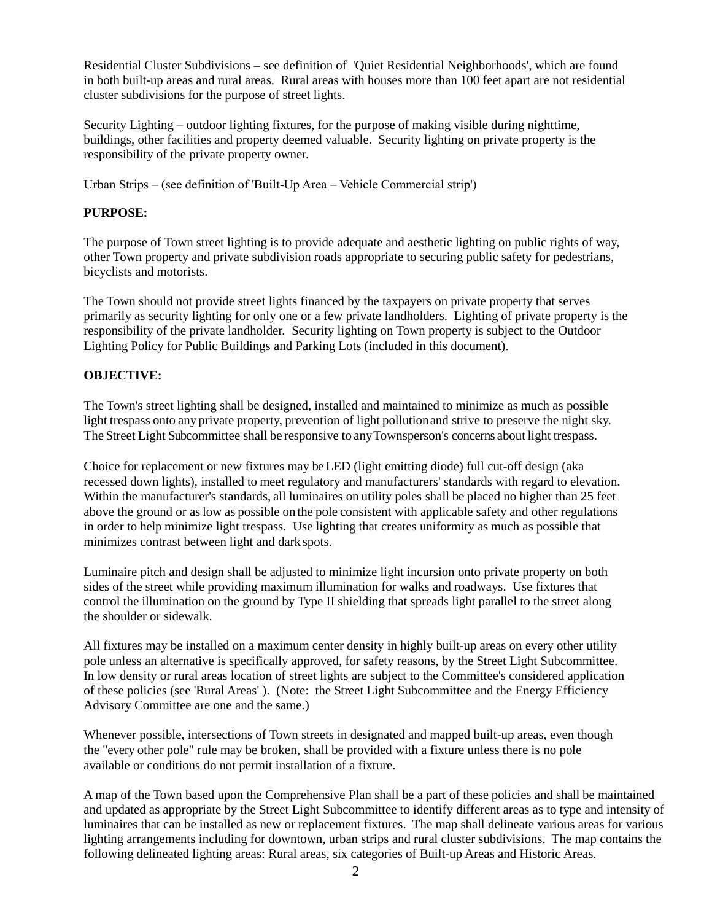Residential Cluster Subdivisions **–** see definition of 'Quiet Residential Neighborhoods', which are found in both built-up areas and rural areas. Rural areas with houses more than 100 feet apart are not residential cluster subdivisions for the purpose of street lights.

Security Lighting – outdoor lighting fixtures, for the purpose of making visible during nighttime, buildings, other facilities and property deemed valuable. Security lighting on private property is the responsibility of the private property owner.

Urban Strips – (see definition of 'Built-Up Area – Vehicle Commercial strip')

## **PURPOSE:**

The purpose of Town street lighting is to provide adequate and aesthetic lighting on public rights of way, other Town property and private subdivision roads appropriate to securing public safety for pedestrians, bicyclists and motorists.

The Town should not provide street lights financed by the taxpayers on private property that serves primarily as security lighting for only one or a few private landholders. Lighting of private property is the responsibility of the private landholder. Security lighting on Town property is subject to the Outdoor Lighting Policy for Public Buildings and Parking Lots (included in this document).

## **OBJECTIVE:**

The Town's street lighting shall be designed, installed and maintained to minimize as much as possible light trespass onto any private property, prevention of light pollutionand strive to preserve the night sky. The Street Light Subcommittee shall be responsive to anyTownsperson's concerns about light trespass.

Choice for replacement or new fixtures may be LED (light emitting diode) full cut-off design (aka recessed down lights), installed to meet regulatory and manufacturers' standards with regard to elevation. Within the manufacturer's standards, all luminaires on utility poles shall be placed no higher than 25 feet above the ground or as low as possible on the pole consistent with applicable safety and other regulations in order to help minimize light trespass. Use lighting that creates uniformity as much as possible that minimizes contrast between light and dark spots.

Luminaire pitch and design shall be adjusted to minimize light incursion onto private property on both sides of the street while providing maximum illumination for walks and roadways. Use fixtures that control the illumination on the ground by Type II shielding that spreads light parallel to the street along the shoulder or sidewalk.

All fixtures may be installed on a maximum center density in highly built-up areas on every other utility pole unless an alternative is specifically approved, for safety reasons, by the Street Light Subcommittee. In low density or rural areas location of street lights are subject to the Committee's considered application of these policies (see 'Rural Areas' ). (Note: the Street Light Subcommittee and the Energy Efficiency Advisory Committee are one and the same.)

Whenever possible, intersections of Town streets in designated and mapped built-up areas, even though the "every other pole" rule may be broken, shall be provided with a fixture unless there is no pole available or conditions do not permit installation of a fixture.

A map of the Town based upon the Comprehensive Plan shall be a part of these policies and shall be maintained and updated as appropriate by the Street Light Subcommittee to identify different areas as to type and intensity of luminaires that can be installed as new or replacement fixtures. The map shall delineate various areas for various lighting arrangements including for downtown, urban strips and rural cluster subdivisions. The map contains the following delineated lighting areas: Rural areas, six categories of Built-up Areas and Historic Areas.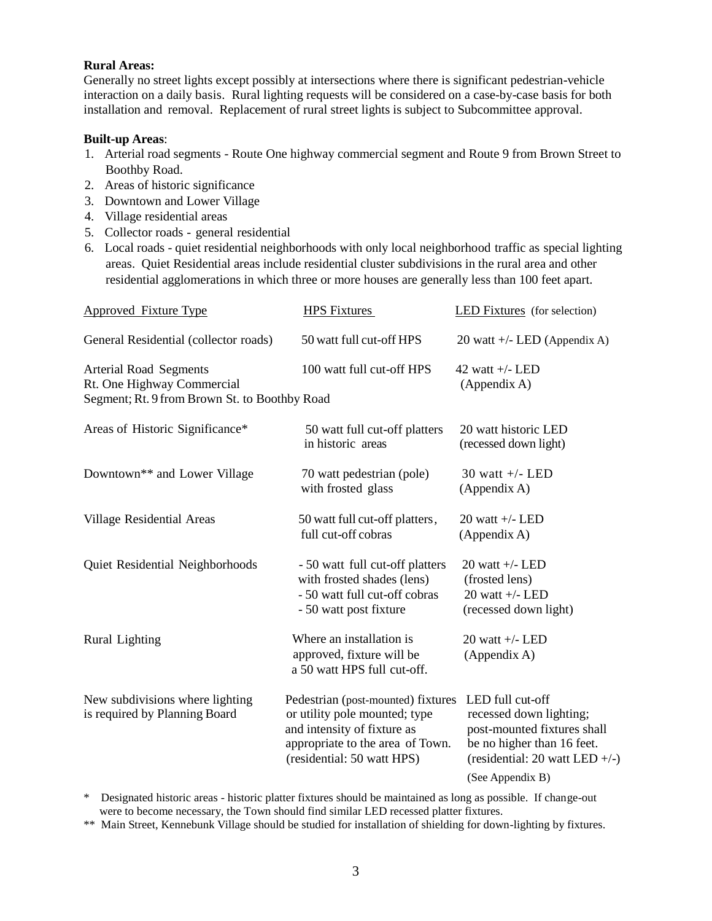#### **Rural Areas:**

Generally no street lights except possibly at intersections where there is significant pedestrian-vehicle interaction on a daily basis. Rural lighting requests will be considered on a case-by-case basis for both installation and removal. Replacement of rural street lights is subject to Subcommittee approval.

#### **Built-up Areas**:

- 1. Arterial road segments Route One highway commercial segment and Route 9 from Brown Street to Boothby Road.
- 2. Areas of historic significance
- 3. Downtown and Lower Village
- 4. Village residential areas
- 5. Collector roads general residential
- 6. Local roads quiet residential neighborhoods with only local neighborhood traffic as special lighting areas. Quiet Residential areas include residential cluster subdivisions in the rural area and other residential agglomerations in which three or more houses are generally less than 100 feet apart.

| <b>Approved Fixture Type</b>                                                                                 | <b>HPS Fixtures</b>                                                                                                                                                  | <b>LED Fixtures</b> (for selection)                                                                                                                              |
|--------------------------------------------------------------------------------------------------------------|----------------------------------------------------------------------------------------------------------------------------------------------------------------------|------------------------------------------------------------------------------------------------------------------------------------------------------------------|
| General Residential (collector roads)                                                                        | 50 watt full cut-off HPS                                                                                                                                             | 20 watt $+/-$ LED (Appendix A)                                                                                                                                   |
| <b>Arterial Road Segments</b><br>Rt. One Highway Commercial<br>Segment; Rt. 9 from Brown St. to Boothby Road | 100 watt full cut-off HPS                                                                                                                                            | 42 watt $+/-$ LED<br>(Appendix A)                                                                                                                                |
| Areas of Historic Significance*                                                                              | 50 watt full cut-off platters<br>in historic areas                                                                                                                   | 20 watt historic LED<br>(recessed down light)                                                                                                                    |
| Downtown** and Lower Village                                                                                 | 70 watt pedestrian (pole)<br>with frosted glass                                                                                                                      | 30 watt $+/-$ LED<br>(Appendix A)                                                                                                                                |
| Village Residential Areas                                                                                    | 50 watt full cut-off platters,<br>full cut-off cobras                                                                                                                | 20 watt $+/-$ LED<br>(Appendix A)                                                                                                                                |
| Quiet Residential Neighborhoods                                                                              | - 50 watt full cut-off platters<br>with frosted shades (lens)<br>- 50 watt full cut-off cobras<br>- 50 watt post fixture                                             | 20 watt $+/-$ LED<br>(frosted lens)<br>20 watt $+/-$ LED<br>(recessed down light)                                                                                |
| Rural Lighting                                                                                               | Where an installation is<br>approved, fixture will be<br>a 50 watt HPS full cut-off.                                                                                 | 20 watt $+/-$ LED<br>(Appendix A)                                                                                                                                |
| New subdivisions where lighting<br>is required by Planning Board                                             | Pedestrian (post-mounted) fixtures<br>or utility pole mounted; type<br>and intensity of fixture as<br>appropriate to the area of Town.<br>(residential: 50 watt HPS) | LED full cut-off<br>recessed down lighting;<br>post-mounted fixtures shall<br>be no higher than 16 feet.<br>(residential: $20$ watt LED +/-)<br>(See Appendix B) |

\* Designated historic areas - historic platter fixtures should be maintained as long as possible. If change-out were to become necessary, the Town should find similar LED recessed platter fixtures.

\*\* Main Street, Kennebunk Village should be studied for installation of shielding for down-lighting by fixtures.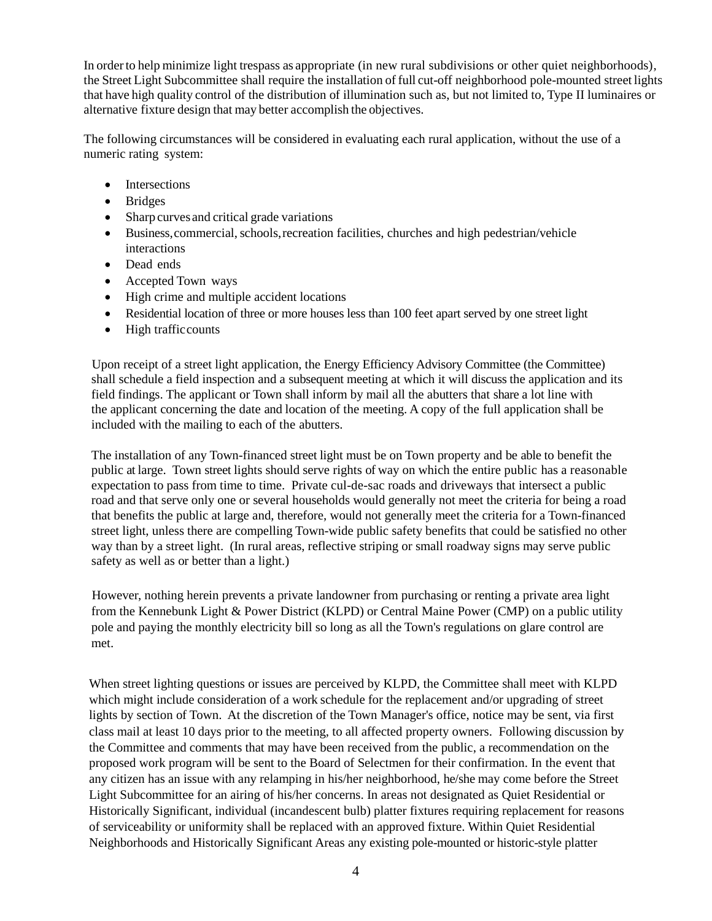In orderto help minimize light trespass as appropriate (in new rural subdivisions or other quiet neighborhoods), the Street Light Subcommittee shall require the installation of full cut-off neighborhood pole-mounted street lights that have high quality control of the distribution of illumination such as, but not limited to, Type II luminaires or alternative fixture design that may better accomplish the objectives.

The following circumstances will be considered in evaluating each rural application, without the use of a numeric rating system:

- Intersections
- Bridges
- Sharp curves and critical grade variations
- Business,commercial,schools,recreation facilities, churches and high pedestrian/vehicle interactions
- Dead ends
- Accepted Town ways
- High crime and multiple accident locations
- Residential location of three or more houses less than 100 feet apart served by one street light
- High traffic counts

Upon receipt of a street light application, the Energy Efficiency Advisory Committee (the Committee) shall schedule a field inspection and a subsequent meeting at which it will discuss the application and its field findings. The applicant or Town shall inform by mail all the abutters that share a lot line with the applicant concerning the date and location of the meeting. A copy of the full application shall be included with the mailing to each of the abutters.

The installation of any Town-financed street light must be on Town property and be able to benefit the public at large. Town street lights should serve rights of way on which the entire public has a reasonable expectation to pass from time to time. Private cul-de-sac roads and driveways that intersect a public road and that serve only one or several households would generally not meet the criteria for being a road that benefits the public at large and, therefore, would not generally meet the criteria for a Town-financed street light, unless there are compelling Town-wide public safety benefits that could be satisfied no other way than by a street light. (In rural areas, reflective striping or small roadway signs may serve public safety as well as or better than a light.)

However, nothing herein prevents a private landowner from purchasing or renting a private area light from the Kennebunk Light & Power District (KLPD) or Central Maine Power (CMP) on a public utility pole and paying the monthly electricity bill so long as all the Town's regulations on glare control are met.

When street lighting questions or issues are perceived by KLPD, the Committee shall meet with KLPD which might include consideration of a work schedule for the replacement and/or upgrading of street lights by section of Town. At the discretion of the Town Manager's office, notice may be sent, via first class mail at least 10 days prior to the meeting, to all affected property owners. Following discussion by the Committee and comments that may have been received from the public, a recommendation on the proposed work program will be sent to the Board of Selectmen for their confirmation. In the event that any citizen has an issue with any relamping in his/her neighborhood, he/she may come before the Street Light Subcommittee for an airing of his/her concerns. In areas not designated as Quiet Residential or Historically Significant, individual (incandescent bulb) platter fixtures requiring replacement for reasons of serviceability or uniformity shall be replaced with an approved fixture. Within Quiet Residential Neighborhoods and Historically Significant Areas any existing pole-mounted or historic-style platter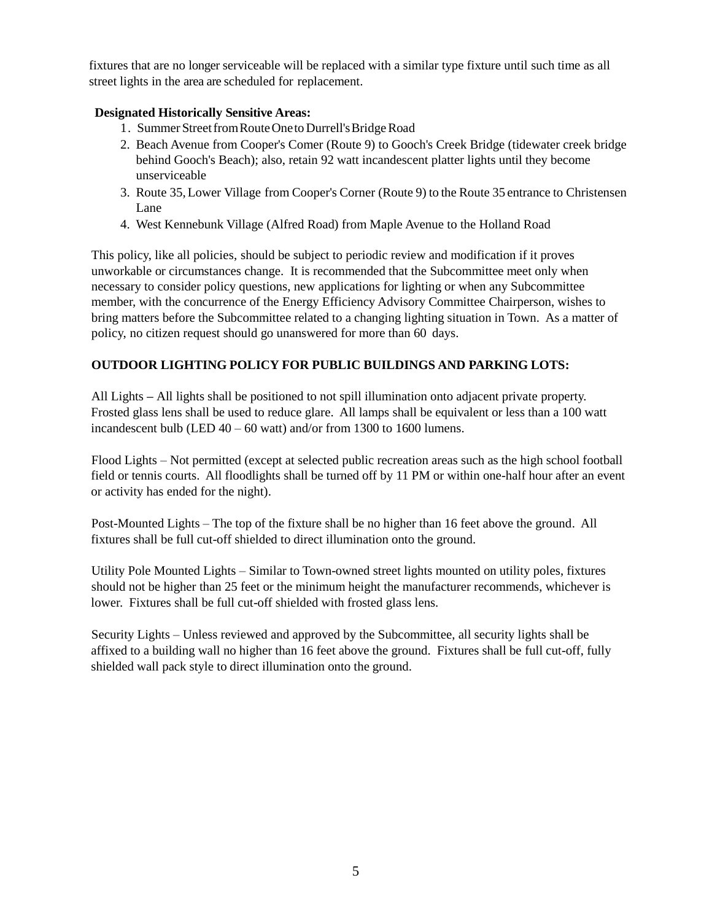fixtures that are no longer serviceable will be replaced with a similar type fixture until such time as all street lights in the area are scheduled for replacement.

## **Designated Historically Sensitive Areas:**

- 1. Summer Street from Route One to Durrell's Bridge Road
- 2. Beach Avenue from Cooper's Comer (Route 9) to Gooch's Creek Bridge (tidewater creek bridge behind Gooch's Beach); also, retain 92 watt incandescent platter lights until they become unserviceable
- 3. Route 35,Lower Village from Cooper's Corner (Route 9) to the Route 35 entrance to Christensen Lane
- 4. West Kennebunk Village (Alfred Road) from Maple Avenue to the Holland Road

This policy, like all policies, should be subject to periodic review and modification if it proves unworkable or circumstances change. It is recommended that the Subcommittee meet only when necessary to consider policy questions, new applications for lighting or when any Subcommittee member, with the concurrence of the Energy Efficiency Advisory Committee Chairperson, wishes to bring matters before the Subcommittee related to a changing lighting situation in Town. As a matter of policy, no citizen request should go unanswered for more than 60 days.

## **OUTDOOR LIGHTING POLICY FOR PUBLIC BUILDINGS AND PARKING LOTS:**

All Lights **–** All lights shall be positioned to not spill illumination onto adjacent private property. Frosted glass lens shall be used to reduce glare. All lamps shall be equivalent or less than a 100 watt incandescent bulb (LED 40 – 60 watt) and/or from 1300 to 1600 lumens.

Flood Lights – Not permitted (except at selected public recreation areas such as the high school football field or tennis courts. All floodlights shall be turned off by 11 PM or within one-half hour after an event or activity has ended for the night).

Post-Mounted Lights – The top of the fixture shall be no higher than 16 feet above the ground. All fixtures shall be full cut-off shielded to direct illumination onto the ground.

Utility Pole Mounted Lights – Similar to Town-owned street lights mounted on utility poles, fixtures should not be higher than 25 feet or the minimum height the manufacturer recommends, whichever is lower. Fixtures shall be full cut-off shielded with frosted glass lens.

Security Lights – Unless reviewed and approved by the Subcommittee, all security lights shall be affixed to a building wall no higher than 16 feet above the ground. Fixtures shall be full cut-off, fully shielded wall pack style to direct illumination onto the ground.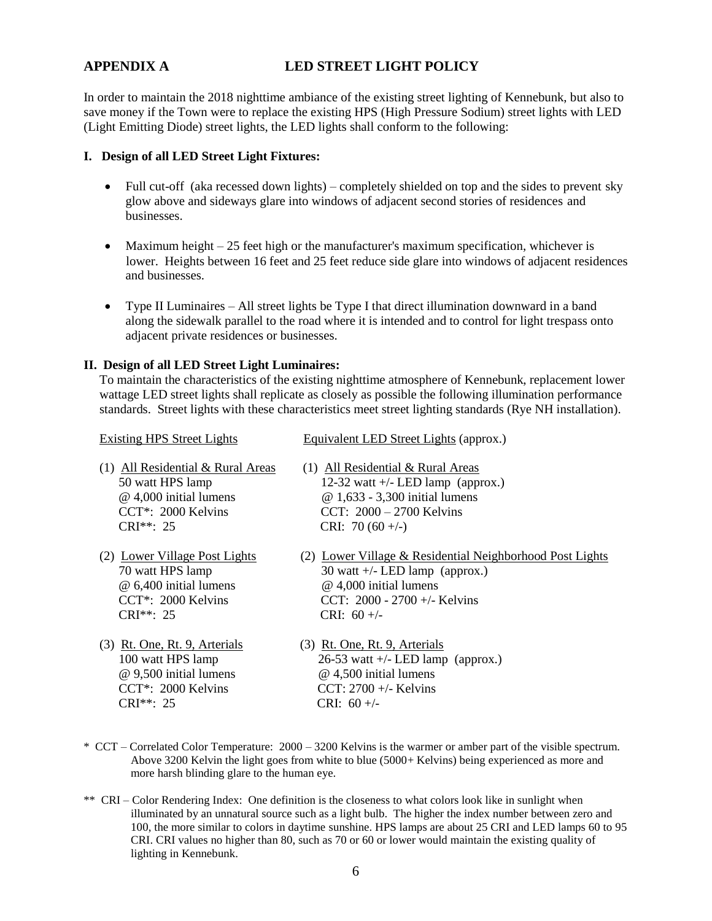## **APPENDIX A LED STREET LIGHT POLICY**

In order to maintain the 2018 nighttime ambiance of the existing street lighting of Kennebunk, but also to save money if the Town were to replace the existing HPS (High Pressure Sodium) street lights with LED (Light Emitting Diode) street lights, the LED lights shall conform to the following:

#### **I. Design of all LED Street Light Fixtures:**

- Full cut-off (aka recessed down lights) completely shielded on top and the sides to prevent sky glow above and sideways glare into windows of adjacent second stories of residences and businesses.
- $\bullet$  Maximum height  $-25$  feet high or the manufacturer's maximum specification, whichever is lower. Heights between 16 feet and 25 feet reduce side glare into windows of adjacent residences and businesses.
- Type II Luminaires All street lights be Type I that direct illumination downward in a band along the sidewalk parallel to the road where it is intended and to control for light trespass onto adjacent private residences or businesses.

#### **II. Design of all LED Street Light Luminaires:**

To maintain the characteristics of the existing nighttime atmosphere of Kennebunk, replacement lower wattage LED street lights shall replicate as closely as possible the following illumination performance standards. Street lights with these characteristics meet street lighting standards (Rye NH installation).

| <b>Existing HPS Street Lights</b>   | Equivalent LED Street Lights (approx.)                   |
|-------------------------------------|----------------------------------------------------------|
| $(1)$ All Residential & Rural Areas | $(1)$ All Residential & Rural Areas                      |
| 50 watt HPS lamp                    | 12-32 watt $+/-$ LED lamp (approx.)                      |
| @ 4,000 initial lumens              | @ 1,633 - 3,300 initial lumens                           |
| $CCT^*$ : 2000 Kelvins              | CCT: $2000 - 2700$ Kelvins                               |
| $CRI^{***}: 25$                     | CRI: $70(60 +/-)$                                        |
| (2) Lower Village Post Lights       | (2) Lower Village & Residential Neighborhood Post Lights |
| 70 watt HPS lamp                    | 30 watt $+/-$ LED lamp (approx.)                         |
| @ 6,400 initial lumens              | @ 4,000 initial lumens                                   |
| $CCT^*$ : 2000 Kelvins              | CCT: $2000 - 2700 +/-$ Kelvins                           |
| $CRI^{***}: 25$                     | CRI: $60 +/-$                                            |
| (3) Rt. One, Rt. 9, Arterials       | (3) Rt. One, Rt. 9, Arterials                            |
| 100 watt HPS lamp                   | $26-53$ watt +/- LED lamp (approx.)                      |
| @ 9,500 initial lumens              | @ 4,500 initial lumens                                   |
| CCT*: 2000 Kelvins                  | CCT: $2700 +/-$ Kelvins                                  |
| CRI**: 25                           | CRI: $60 +/-$                                            |

- \* CCT Correlated Color Temperature: 2000 3200 Kelvins is the warmer or amber part of the visible spectrum. Above 3200 Kelvin the light goes from white to blue (5000+ Kelvins) being experienced as more and more harsh blinding glare to the human eye.
- \*\* CRI Color Rendering Index: One definition is the closeness to what colors look like in sunlight when illuminated by an unnatural source such as a light bulb. The higher the index number between zero and 100, the more similar to colors in daytime sunshine. HPS lamps are about 25 CRI and LED lamps 60 to 95 CRI. CRI values no higher than 80, such as 70 or 60 or lower would maintain the existing quality of lighting in Kennebunk.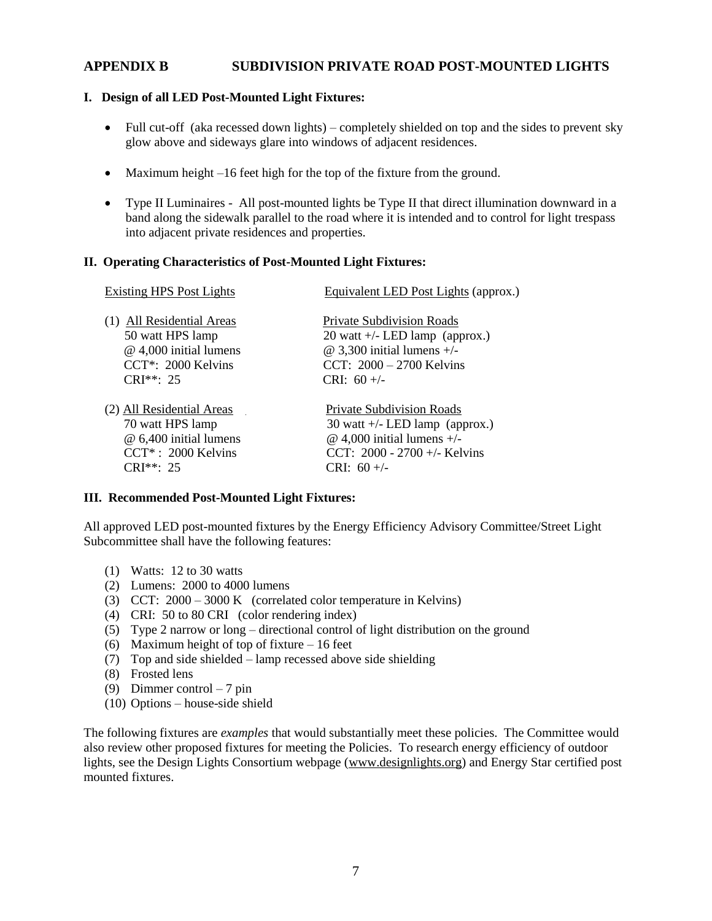## **APPENDIX B SUBDIVISION PRIVATE ROAD POST-MOUNTED LIGHTS**

#### **I. Design of all LED Post-Mounted Light Fixtures:**

- Full cut-off (aka recessed down lights) completely shielded on top and the sides to prevent sky glow above and sideways glare into windows of adjacent residences.
- Maximum height –16 feet high for the top of the fixture from the ground.
- Type II Luminaires All post-mounted lights be Type II that direct illumination downward in a band along the sidewalk parallel to the road where it is intended and to control for light trespass into adjacent private residences and properties.

#### **II. Operating Characteristics of Post-Mounted Light Fixtures:**

| <b>Existing HPS Post Lights</b> | Equivalent LED Post Lights (approx.) |  |
|---------------------------------|--------------------------------------|--|
| (1) All Residential Areas       | Private Subdivision Roads            |  |
| 50 watt HPS lamp                | 20 watt $+/-$ LED lamp (approx.)     |  |
| $@$ 4,000 initial lumens        | $\omega$ 3,300 initial lumens +/-    |  |
| CCT*: 2000 Kelvins              | CCT: $2000 - 2700$ Kelvins           |  |
| $CRI**: 25$                     | CRI: $60 +/-$                        |  |
| (2) All Residential Areas       | <b>Private Subdivision Roads</b>     |  |
| 70 watt HPS lamp                | 30 watt $+/-$ LED lamp (approx.)     |  |
| @ 6,400 initial lumens          | $@$ 4,000 initial lumens $+/-$       |  |
| CCT*: 2000 Kelvins              | CCT: 2000 - 2700 +/- Kelvins         |  |
| $CRI**. 25$                     | $CRI: 60 +/-$                        |  |

#### **III. Recommended Post-Mounted Light Fixtures:**

All approved LED post-mounted fixtures by the Energy Efficiency Advisory Committee/Street Light Subcommittee shall have the following features:

- (1) Watts: 12 to 30 watts
- (2) Lumens: 2000 to 4000 lumens
- (3) CCT: 2000 3000 K (correlated color temperature in Kelvins)
- (4) CRI: 50 to 80 CRI (color rendering index)
- (5) Type 2 narrow or long directional control of light distribution on the ground
- (6) Maximum height of top of fixture 16 feet
- (7) Top and side shielded lamp recessed above side shielding
- (8) Frosted lens
- (9) Dimmer control 7 pin
- (10) Options house-side shield

The following fixtures are *examples* that would substantially meet these policies. The Committee would also review other proposed fixtures for meeting the Policies. To research energy efficiency of outdoor lights, see the Design Lights Consortium webpage [\(www.designlights.org\)](http://www.designlights.org/) and Energy Star certified post mounted fixtures.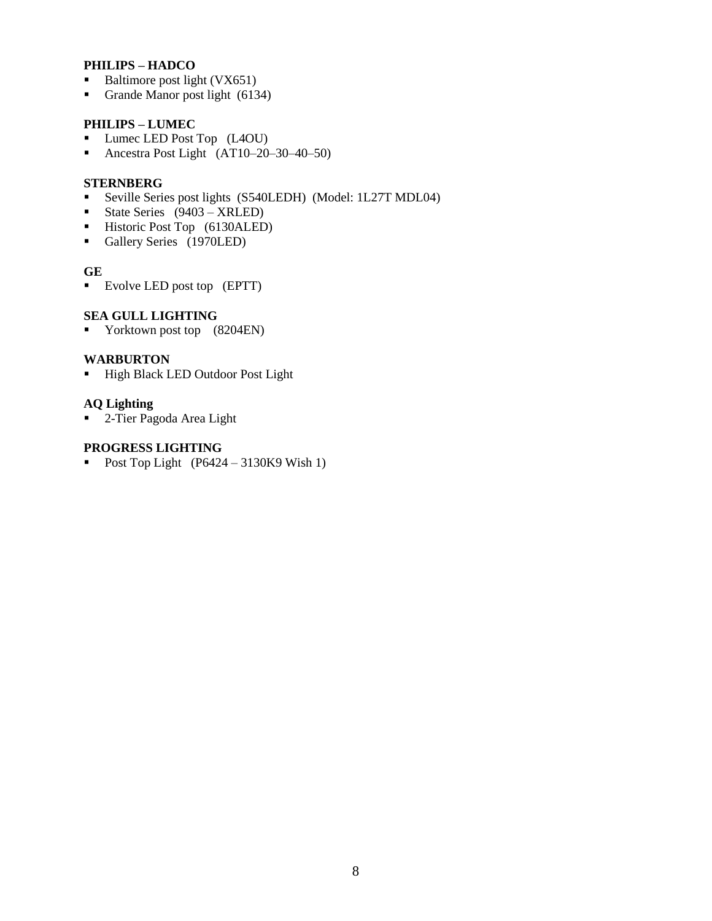### **PHILIPS – HADCO**

- Baltimore post light (VX651)
- Grande Manor post light (6134)

### **PHILIPS – LUMEC**

- **Lumec LED Post Top** (L4OU)
- Ancestra Post Light (AT10–20–30–40–50)

#### **STERNBERG**

- Seville Series post lights (S540LEDH) (Model: 1L27T MDL04)
- State Series (9403 XRLED)
- Historic Post Top (6130ALED)
- Gallery Series (1970LED)

#### **GE**

Evolve LED post top (EPTT)

#### **SEA GULL LIGHTING**

Yorktown post top (8204EN)

#### **WARBURTON**

**High Black LED Outdoor Post Light** 

## **AQ Lighting**

■ 2-Tier Pagoda Area Light

#### **PROGRESS LIGHTING**

Post Top Light  $(P6424 - 3130K9 \text{ Wish } 1)$